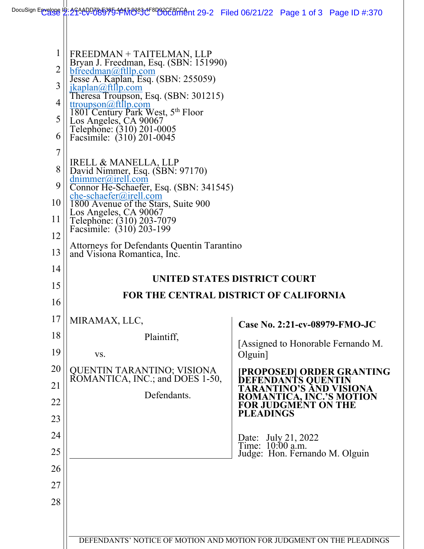| 1<br>$\overline{2}$<br>3<br>4<br>5<br>6                                          | FREEDMAN + TAITELMAN, LLP<br>Bryan J. Freedman, Esq. (SBN: 151990)<br>bfreedman@ftllp.com<br>Jesse A. Kaplan, Esq. (SBN: 255059)<br>jkaplan@ftllp.com<br>Theresa Troupson, Esq. (SBN: 301215)<br>tt roughson@ftllp.com<br>1801 Century Park West, 5th Floor<br>Los Angeles, CA 90067<br>Telephone: (310) 201-0005<br>Facsimile: (310) 201-0045 |                                                                                                                                                                                                                                                                                                                                                                                               |
|----------------------------------------------------------------------------------|------------------------------------------------------------------------------------------------------------------------------------------------------------------------------------------------------------------------------------------------------------------------------------------------------------------------------------------------|-----------------------------------------------------------------------------------------------------------------------------------------------------------------------------------------------------------------------------------------------------------------------------------------------------------------------------------------------------------------------------------------------|
| 7<br>8<br>9<br>10<br>11<br>12                                                    | IRELL & MANELLA, LLP<br>David Nimmer, Esq. (SBN: 97170)<br>$d$ nimmer@irell.com<br>Connor He-Schaefer, Esq. (SBN: 341545)<br>$che-schaefer(a)$ irell.com<br>1800 Avenue of the Stars, Suite 900<br>Los Angeles, CA 90067<br>Telephone: (310) 203-7079<br>Facsimile: (310) 203-199                                                              |                                                                                                                                                                                                                                                                                                                                                                                               |
| 13                                                                               | Attorneys for Defendants Quentin Tarantino<br>and Visiona Romantica, Inc.                                                                                                                                                                                                                                                                      |                                                                                                                                                                                                                                                                                                                                                                                               |
| 14<br>15<br>16<br>17<br>18<br>19<br>20<br>21<br>22<br>23<br>24<br>25<br>26<br>27 | MIRAMAX, LLC,<br>Plaintiff,<br>VS.<br>QUENTIN TARANTINO; VISIONA<br>ROMANTICA, INC.; and DOES 1-50,<br>Defendants.                                                                                                                                                                                                                             | UNITED STATES DISTRICT COURT<br>FOR THE CENTRAL DISTRICT OF CALIFORNIA<br>Case No. 2:21-cv-08979-FMO-JC<br>[Assigned to Honorable Fernando M.<br>$Olguin$ ]<br>[PROPOSED] ORDER GRANTING<br>DEFENDANTS QUENTIN<br>TARANTINO'S AND VISIONA<br>ROMANTICA, INC.'S MOTION<br>FOR JUDGMENT ON THE<br><b>PLEADINGS</b><br>Date: July 21, 2022<br>Time: 10:00 a.m.<br>Judge: Hon. Fernando M. Olguin |
| 28                                                                               |                                                                                                                                                                                                                                                                                                                                                |                                                                                                                                                                                                                                                                                                                                                                                               |
|                                                                                  |                                                                                                                                                                                                                                                                                                                                                | DEFENDANTS' NOTICE OF MOTION AND MOTION FOR JUDGMENT ON THE PLEADINGS                                                                                                                                                                                                                                                                                                                         |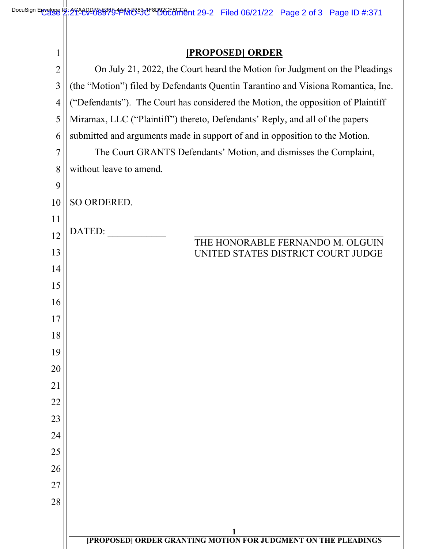## **[PROPOSED] ORDER**

| $\overline{2}$ | On July 21, 2022, the Court heard the Motion for Judgment on the Pleadings       |  |
|----------------|----------------------------------------------------------------------------------|--|
| $\overline{3}$ | (the "Motion") filed by Defendants Quentin Tarantino and Visiona Romantica, Inc. |  |
| $\overline{4}$ | ("Defendants"). The Court has considered the Motion, the opposition of Plaintiff |  |
| 5              | Miramax, LLC ("Plaintiff") thereto, Defendants' Reply, and all of the papers     |  |
| 6              | submitted and arguments made in support of and in opposition to the Motion.      |  |
| 7              | The Court GRANTS Defendants' Motion, and dismisses the Complaint,                |  |
| 8              | without leave to amend.                                                          |  |
| 9              |                                                                                  |  |
| 10             | SO ORDERED.                                                                      |  |
| 11             |                                                                                  |  |
| 12             | DATED:<br>THE HONORABLE FERNANDO M. OLGUIN                                       |  |
| 13             | UNITED STATES DISTRICT COURT JUDGE                                               |  |
| 14             |                                                                                  |  |
| 15             |                                                                                  |  |
| 16             |                                                                                  |  |
| 17             |                                                                                  |  |
| 18             |                                                                                  |  |
| 19             |                                                                                  |  |
| 20<br>21       |                                                                                  |  |
| 22             |                                                                                  |  |
| 23             |                                                                                  |  |
| 24             |                                                                                  |  |
| 25             |                                                                                  |  |
| 26             |                                                                                  |  |
| 27             |                                                                                  |  |
| 28             |                                                                                  |  |
|                |                                                                                  |  |
|                | <b>THE PROPOSED] ORDER GRANTING MOTION FOR JUDGMENT ON THE PLEADINGS</b>         |  |
|                |                                                                                  |  |